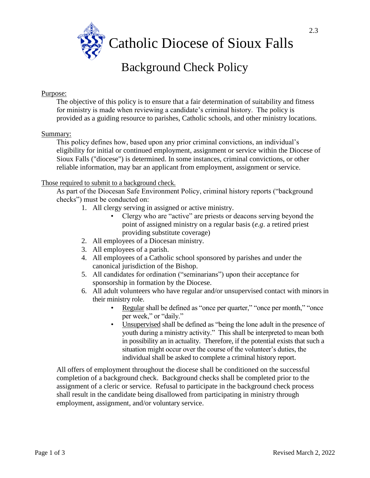

# Background Check Policy

## Purpose:

The objective of this policy is to ensure that a fair determination of suitability and fitness for ministry is made when reviewing a candidate's criminal history. The policy is provided as a guiding resource to parishes, Catholic schools, and other ministry locations.

## Summary:

This policy defines how, based upon any prior criminal convictions, an individual's eligibility for initial or continued employment, assignment or service within the Diocese of Sioux Falls ("diocese") is determined. In some instances, criminal convictions, or other reliable information, may bar an applicant from employment, assignment or service.

## Those required to submit to a background check.

As part of the Diocesan Safe Environment Policy, criminal history reports ("background checks") must be conducted on:

- 1. All clergy serving in assigned or active ministry.
	- Clergy who are "active" are priests or deacons serving beyond the point of assigned ministry on a regular basis (*e.g*. a retired priest providing substitute coverage)
- 2. All employees of a Diocesan ministry.
- 3. All employees of a parish.
- 4. All employees of a Catholic school sponsored by parishes and under the canonical jurisdiction of the Bishop.
- 5. All candidates for ordination ("seminarians") upon their acceptance for sponsorship in formation by the Diocese.
- 6. All adult volunteers who have regular and/or unsupervised contact with minors in their ministry role.
	- Regular shall be defined as "once per quarter," "once per month," "once per week," or "daily."
	- Unsupervised shall be defined as "being the lone adult in the presence of youth during a ministry activity." This shall be interpreted to mean both in possibility an in actuality. Therefore, if the potential exists that such a situation might occur over the course of the volunteer's duties, the individual shall be asked to complete a criminal history report.

All offers of employment throughout the diocese shall be conditioned on the successful completion of a background check. Background checks shall be completed prior to the assignment of a cleric or service. Refusal to participate in the background check process shall result in the candidate being disallowed from participating in ministry through employment, assignment, and/or voluntary service.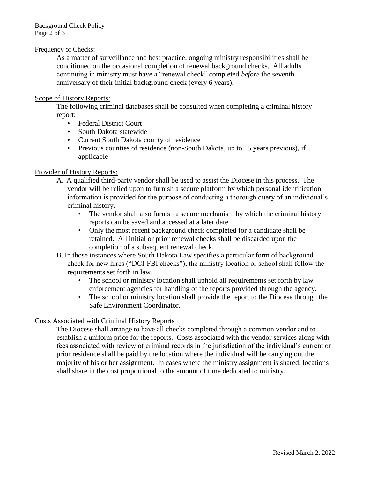## Frequency of Checks:

As a matter of surveillance and best practice, ongoing ministry responsibilities shall be conditioned on the occasional completion of renewal background checks. All adults continuing in ministry must have a "renewal check" completed *before* the seventh anniversary of their initial background check (every 6 years).

#### Scope of History Reports:

The following criminal databases shall be consulted when completing a criminal history report:

- Federal District Court
- South Dakota statewide
- Current South Dakota county of residence
- Previous counties of residence (non-South Dakota, up to 15 years previous), if applicable

#### Provider of History Reports:

- A. A qualified third-party vendor shall be used to assist the Diocese in this process. The vendor will be relied upon to furnish a secure platform by which personal identification information is provided for the purpose of conducting a thorough query of an individual's criminal history.
	- The vendor shall also furnish a secure mechanism by which the criminal history reports can be saved and accessed at a later date.
	- Only the most recent background check completed for a candidate shall be retained. All initial or prior renewal checks shall be discarded upon the completion of a subsequent renewal check.
- B. In those instances where South Dakota Law specifies a particular form of background check for new hires ("DCI-FBI checks"), the ministry location or school shall follow the requirements set forth in law.
	- The school or ministry location shall uphold all requirements set forth by law enforcement agencies for handling of the reports provided through the agency.
	- The school or ministry location shall provide the report to the Diocese through the Safe Environment Coordinator.

## Costs Associated with Criminal History Reports

The Diocese shall arrange to have all checks completed through a common vendor and to establish a uniform price for the reports. Costs associated with the vendor services along with fees associated with review of criminal records in the jurisdiction of the individual's current or prior residence shall be paid by the location where the individual will be carrying out the majority of his or her assignment. In cases where the ministry assignment is shared, locations shall share in the cost proportional to the amount of time dedicated to ministry.